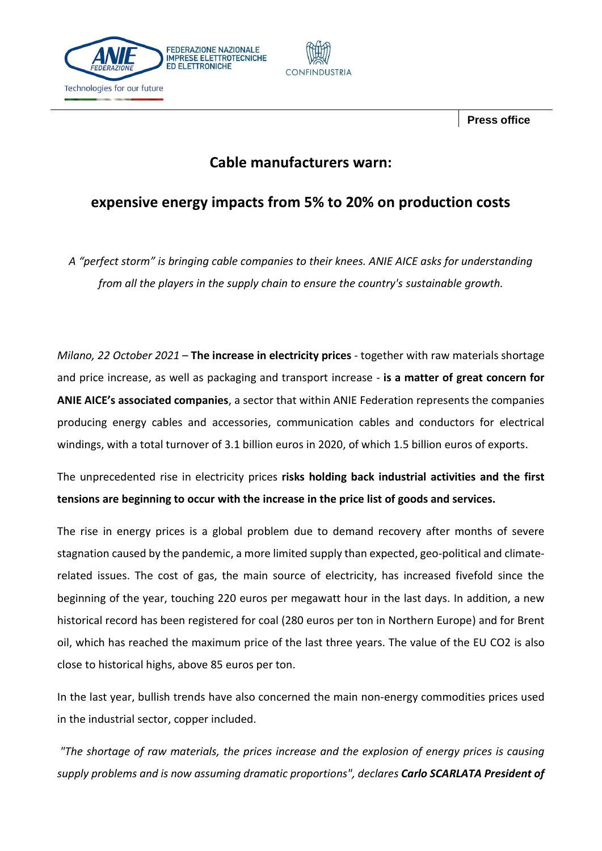



 **Press office**

## **Cable manufacturers warn:**

## **expensive energy impacts from 5% to 20% on production costs**

*A "perfect storm" is bringing cable companies to their knees. ANIE AICE asks for understanding from all the players in the supply chain to ensure the country's sustainable growth.*

*Milano, 22 October 2021* – **The increase in electricity prices** - together with raw materials shortage and price increase, as well as packaging and transport increase - **is a matter of great concern for ANIE AICE's associated companies**, a sector that within ANIE Federation represents the companies producing energy cables and accessories, communication cables and conductors for electrical windings, with a total turnover of 3.1 billion euros in 2020, of which 1.5 billion euros of exports.

The unprecedented rise in electricity prices **risks holding back industrial activities and the first tensions are beginning to occur with the increase in the price list of goods and services.**

The rise in energy prices is a global problem due to demand recovery after months of severe stagnation caused by the pandemic, a more limited supply than expected, geo-political and climaterelated issues. The cost of gas, the main source of electricity, has increased fivefold since the beginning of the year, touching 220 euros per megawatt hour in the last days. In addition, a new historical record has been registered for coal (280 euros per ton in Northern Europe) and for Brent oil, which has reached the maximum price of the last three years. The value of the EU CO2 is also close to historical highs, above 85 euros per ton.

In the last year, bullish trends have also concerned the main non-energy commodities prices used in the industrial sector, copper included.

*"The shortage of raw materials, the prices increase and the explosion of energy prices is causing supply problems and is now assuming dramatic proportions", declares Carlo SCARLATA President of*